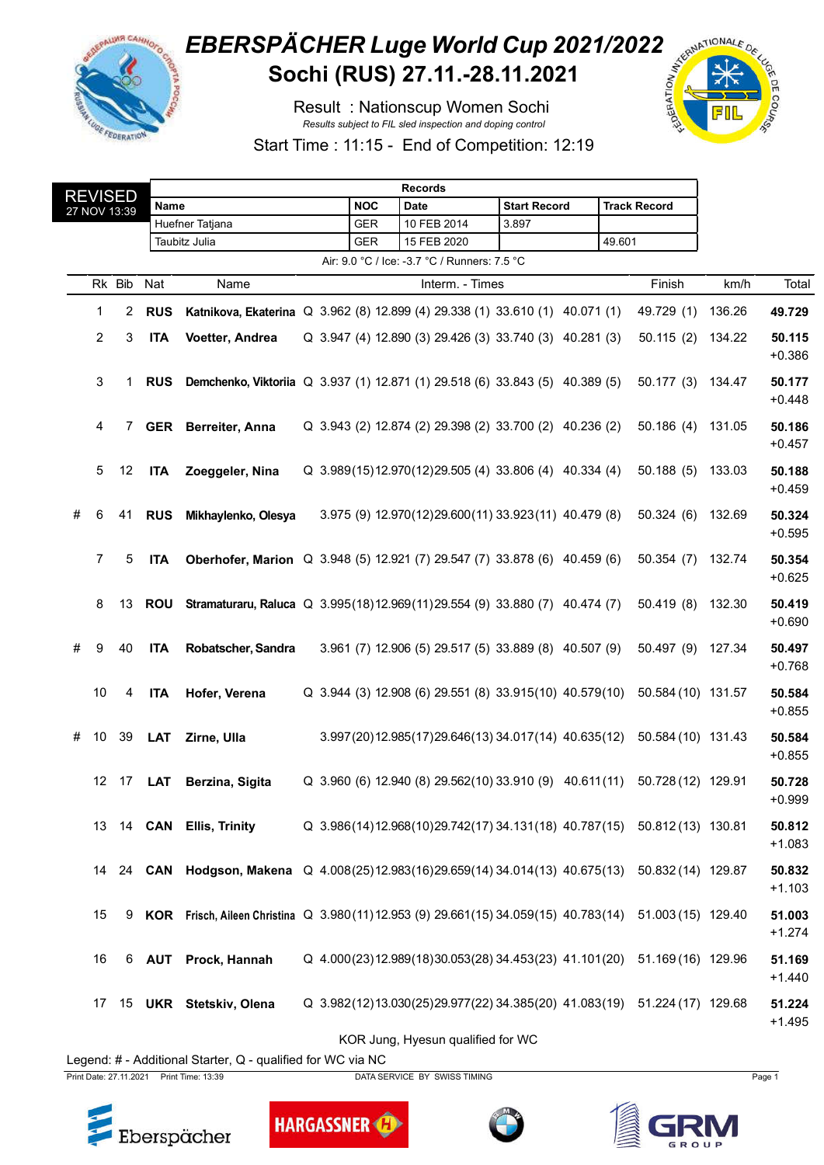

## **EBERSPÄCHER Luge World Cup 2021/2022**<br>Sochi (RUS) 27.11.-28.11.2021 Sochi (RUS) 27.11.-28.11.2021

Result : Nationscup Women Sochi *Results subject to FIL sled inspection and doping control*



Start Time : 11:15 - End of Competition: 12:19

|                                              | <b>REVISED</b>  |        | <b>Records</b> |                                                                                     |  |  |            |  |                                                           |                 |                     |  |        |                                                                        |        |                    |
|----------------------------------------------|-----------------|--------|----------------|-------------------------------------------------------------------------------------|--|--|------------|--|-----------------------------------------------------------|-----------------|---------------------|--|--------|------------------------------------------------------------------------|--------|--------------------|
|                                              | 27 NOV 13:39    |        | Name           |                                                                                     |  |  | <b>NOC</b> |  | Date                                                      |                 | <b>Start Record</b> |  |        | <b>Track Record</b>                                                    |        |                    |
|                                              |                 |        |                | Huefner Tatjana                                                                     |  |  | <b>GER</b> |  | 10 FEB 2014                                               |                 | 3.897               |  |        |                                                                        |        |                    |
|                                              |                 |        |                | Taubitz Julia                                                                       |  |  | GER        |  | 15 FEB 2020                                               |                 |                     |  | 49.601 |                                                                        |        |                    |
| Air: 9.0 °C / Ice: -3.7 °C / Runners: 7.5 °C |                 |        |                |                                                                                     |  |  |            |  |                                                           |                 |                     |  |        |                                                                        |        |                    |
|                                              |                 | Rk Bib | Nat            | Name                                                                                |  |  |            |  |                                                           | Interm. - Times |                     |  |        | Finish                                                                 | km/h   | Total              |
|                                              | 1               | 2      | <b>RUS</b>     | Katnikova, Ekaterina Q 3.962 (8) 12.899 (4) 29.338 (1) 33.610 (1) 40.071 (1)        |  |  |            |  |                                                           |                 |                     |  |        | 49.729 (1)                                                             | 136.26 | 49.729             |
|                                              | 2               | 3      | <b>ITA</b>     | Voetter, Andrea                                                                     |  |  |            |  | Q 3.947 (4) 12.890 (3) 29.426 (3) 33.740 (3) 40.281 (3)   |                 |                     |  |        | 50.115(2)                                                              | 134.22 | 50.115<br>$+0.386$ |
|                                              | 3               | 1.     | <b>RUS</b>     | Demchenko, Viktoriia Q 3.937 (1) 12.871 (1) 29.518 (6) 33.843 (5) 40.389 (5)        |  |  |            |  |                                                           |                 |                     |  |        | 50.177(3)                                                              | 134.47 | 50.177<br>$+0.448$ |
|                                              | 4               | 7      |                | GER Berreiter, Anna                                                                 |  |  |            |  | Q 3.943 (2) 12.874 (2) 29.398 (2) 33.700 (2) 40.236 (2)   |                 |                     |  |        | 50.186(4)                                                              | 131.05 | 50.186<br>$+0.457$ |
|                                              | 5               | 12     | <b>ITA</b>     | Zoeggeler, Nina                                                                     |  |  |            |  | Q 3.989(15)12.970(12)29.505 (4) 33.806 (4) 40.334 (4)     |                 |                     |  |        | 50.188(5)                                                              | 133.03 | 50.188<br>$+0.459$ |
| #                                            | 6               | 41     | <b>RUS</b>     | Mikhaylenko, Olesya                                                                 |  |  |            |  | 3.975 (9) 12.970(12)29.600(11) 33.923(11) 40.479 (8)      |                 |                     |  |        | 50.324(6)                                                              | 132.69 | 50.324<br>$+0.595$ |
|                                              | $\overline{7}$  | 5      | <b>ITA</b>     | Oberhofer, Marion Q 3.948 (5) 12.921 (7) 29.547 (7) 33.878 (6) 40.459 (6)           |  |  |            |  |                                                           |                 |                     |  |        | 50.354(7)                                                              | 132.74 | 50.354<br>$+0.625$ |
|                                              | 8               | 13     | <b>ROU</b>     | Stramaturaru, Raluca Q 3.995(18)12.969(11)29.554 (9) 33.880 (7) 40.474 (7)          |  |  |            |  |                                                           |                 |                     |  |        | 50.419(8)                                                              | 132.30 | 50.419<br>$+0.690$ |
| #                                            | 9               | 40     | <b>ITA</b>     | Robatscher, Sandra                                                                  |  |  |            |  | 3.961 (7) 12.906 (5) 29.517 (5) 33.889 (8) 40.507 (9)     |                 |                     |  |        | 50.497 (9) 127.34                                                      |        | 50.497<br>$+0.768$ |
|                                              | 10              | 4      | <b>ITA</b>     | Hofer, Verena                                                                       |  |  |            |  | Q 3.944 (3) 12.908 (6) 29.551 (8) 33.915 (10) 40.579 (10) |                 |                     |  |        | 50.584 (10) 131.57                                                     |        | 50.584<br>$+0.855$ |
| #                                            | 10 <sup>1</sup> | 39     | <b>LAT</b>     | Zirne, Ulla                                                                         |  |  |            |  | 3.997(20)12.985(17)29.646(13)34.017(14) 40.635(12)        |                 |                     |  |        | 50.584 (10) 131.43                                                     |        | 50.584<br>$+0.855$ |
|                                              |                 | 12 17  | LAT            | Berzina, Sigita                                                                     |  |  |            |  | Q 3.960 (6) 12.940 (8) 29.562(10) 33.910 (9) 40.611(11)   |                 |                     |  |        | 50.728 (12) 129.91                                                     |        | 50.728<br>$+0.999$ |
|                                              |                 |        |                | 13 14 CAN Ellis, Trinity                                                            |  |  |            |  |                                                           |                 |                     |  |        | Q 3.986(14)12.968(10)29.742(17)34.131(18) 40.787(15) 50.812(13) 130.81 |        | 50.812<br>$+1.083$ |
|                                              | 14              |        |                | 24 CAN Hodgson, Makena Q 4.008(25)12.983(16)29.659(14) 34.014(13) 40.675(13)        |  |  |            |  |                                                           |                 |                     |  |        | 50.832 (14) 129.87                                                     |        | 50.832<br>$+1.103$ |
|                                              | 15              | 9      |                | KOR Frisch, Aileen Christina Q 3.980(11)12.953 (9) 29.661(15) 34.059(15) 40.783(14) |  |  |            |  |                                                           |                 |                     |  |        | 51.003 (15) 129.40                                                     |        | 51.003<br>$+1.274$ |
|                                              | 16              | 6      |                | <b>AUT</b> Prock, Hannah                                                            |  |  |            |  |                                                           |                 |                     |  |        | Q 4.000(23)12.989(18)30.053(28)34.453(23) 41.101(20) 51.169(16) 129.96 |        | 51.169<br>$+1.440$ |
|                                              |                 |        |                | 17 15 UKR Stetskiv, Olena                                                           |  |  |            |  |                                                           |                 |                     |  |        | Q 3.982(12)13.030(25)29.977(22)34.385(20) 41.083(19) 51.224(17) 129.68 |        | 51.224<br>$+1.495$ |
|                                              |                 |        |                |                                                                                     |  |  |            |  | KOR Jung, Hyesun qualified for WC                         |                 |                     |  |        |                                                                        |        |                    |

Legend: # - Additional Starter, Q - qualified for WC via NC

Print Date: 27.11.2021 Print Time: 13:39 DATA SERVICE BY SWISS TIMING Page 1





**HARGASSNER** 



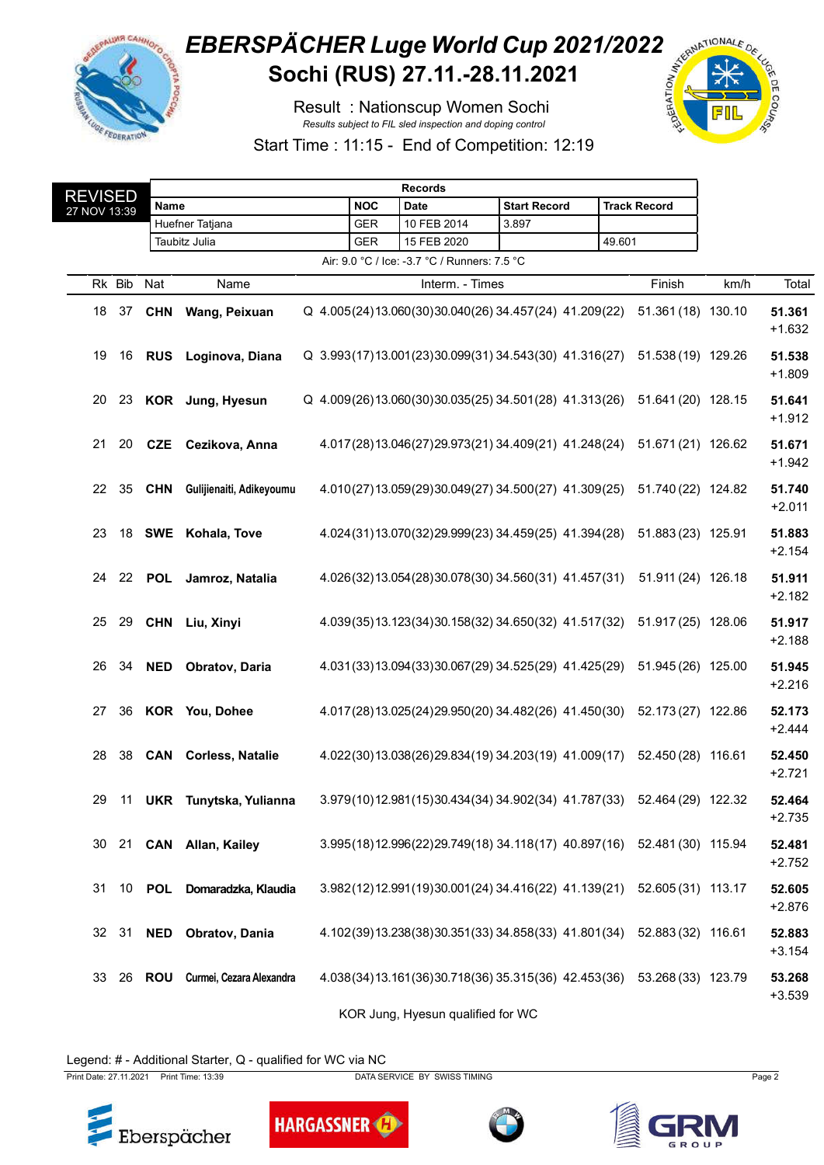

## **EBERSPÄCHER Luge World Cup 2021/2022**<br>Sochi (RUS) 27.11.-28.11.2021 Sochi (RUS) 27.11.-28.11.2021

Result : Nationscup Women Sochi *Results subject to FIL sled inspection and doping control*



Start Time : 11:15 - End of Competition: 12:19

| REVISED      |        |               |                           |            |                                              |                                                                       |        |                     |      |                    |
|--------------|--------|---------------|---------------------------|------------|----------------------------------------------|-----------------------------------------------------------------------|--------|---------------------|------|--------------------|
| 27 NOV 13:39 |        | Name          |                           | <b>NOC</b> | Date                                         | <b>Start Record</b>                                                   |        | <b>Track Record</b> |      |                    |
|              |        |               | Huefner Tatjana           | <b>GER</b> | 10 FEB 2014                                  | 3.897                                                                 |        |                     |      |                    |
|              |        |               | Taubitz Julia             | GER        | 15 FEB 2020                                  |                                                                       | 49.601 |                     |      |                    |
|              |        |               |                           |            | Air: 9.0 °C / Ice: -3.7 °C / Runners: 7.5 °C |                                                                       |        |                     |      |                    |
|              | Rk Bib | Nat           | Name                      |            | Interm. - Times                              |                                                                       |        | Finish              | km/h | Total              |
| 18           | 37     | <b>CHN</b>    | Wang, Peixuan             |            |                                              | Q 4.005(24)13.060(30)30.040(26)34.457(24)41.209(22)                   |        | 51.361 (18) 130.10  |      | 51.361<br>$+1.632$ |
| 19           | 16     |               | RUS Loginova, Diana       |            |                                              | Q 3.993(17)13.001(23)30.099(31)34.543(30)41.316(27)                   |        | 51.538 (19) 129.26  |      | 51.538<br>$+1.809$ |
|              |        |               | 20 23 KOR Jung, Hyesun    |            |                                              | Q 4.009(26)13.060(30)30.035(25)34.501(28)41.313(26)                   |        | 51.641 (20) 128.15  |      | 51.641<br>$+1.912$ |
| 21           | 20     |               | CZE Cezikova, Anna        |            |                                              | 4.017(28)13.046(27)29.973(21)34.409(21)41.248(24)                     |        | 51.671 (21) 126.62  |      | 51.671<br>$+1.942$ |
|              | 22 35  | <b>CHN</b>    | Gulijienaiti, Adikeyoumu  |            |                                              | 4.010(27)13.059(29)30.049(27)34.500(27)41.309(25)                     |        | 51.740 (22) 124.82  |      | 51.740<br>$+2.011$ |
| 23           |        |               | 18 SWE Kohala, Tove       |            |                                              | 4.024(31)13.070(32)29.999(23)34.459(25)41.394(28)                     |        | 51.883 (23) 125.91  |      | 51.883<br>$+2.154$ |
| 24           |        | 22 POL        | Jamroz, Natalia           |            |                                              | 4.026(32)13.054(28)30.078(30)34.560(31) 41.457(31)                    |        | 51.911 (24) 126.18  |      | 51.911<br>$+2.182$ |
|              | 25 29  | CHN           | Liu, Xinyi                |            |                                              | 4.039(35)13.123(34)30.158(32)34.650(32) 41.517(32)                    |        | 51.917 (25) 128.06  |      | 51.917<br>$+2.188$ |
|              | 26 34  | <b>NED</b>    | Obratov, Daria            |            |                                              | 4.031(33)13.094(33)30.067(29)34.525(29)41.425(29)                     |        | 51.945 (26) 125.00  |      | 51.945<br>$+2.216$ |
| 27           | 36     |               | <b>KOR</b> You, Dohee     |            |                                              | 4.017(28)13.025(24)29.950(20)34.482(26)41.450(30)                     |        | 52.173 (27) 122.86  |      | 52.173<br>$+2.444$ |
| 28           |        |               | 38 CAN Corless, Natalie   |            |                                              | 4.022(30)13.038(26)29.834(19)34.203(19)41.009(17)                     |        | 52.450 (28) 116.61  |      | 52.450<br>$+2.721$ |
| 29           |        |               | 11 UKR Tunytska, Yulianna |            |                                              | 3.979(10)12.981(15)30.434(34)34.902(34)41.787(33)                     |        | 52.464 (29) 122.32  |      | 52.464<br>$+2.735$ |
| 30           |        |               | 21 CAN Allan, Kailey      |            |                                              | 3.995(18)12.996(22)29.749(18) 34.118(17) 40.897(16) 52.481(30) 115.94 |        |                     |      | 52.481<br>$+2.752$ |
| 31           | 10     | POL           | Domaradzka, Klaudia       |            |                                              | 3.982(12)12.991(19)30.001(24)34.416(22) 41.139(21)                    |        | 52.605 (31) 113.17  |      | 52.605<br>$+2.876$ |
|              | 32 31  | <b>NED</b>    | Obratov, Dania            |            |                                              | 4.102(39)13.238(38)30.351(33)34.858(33) 41.801(34)                    |        | 52.883 (32) 116.61  |      | 52.883<br>$+3.154$ |
| 33           |        | 26 <b>ROU</b> | Curmei, Cezara Alexandra  |            |                                              | 4.038(34)13.161(36)30.718(36)35.315(36) 42.453(36)                    |        | 53.268 (33) 123.79  |      | 53.268<br>$+3.539$ |
|              |        |               |                           |            | KOR Jung, Hyesun qualified for WC            |                                                                       |        |                     |      |                    |

Legend: # - Additional Starter, Q - qualified for WC via NC



Print Date: 27.11.2021 Print Time: 13:39 DATA SERVICE BY SWISS TIMING Page 2

**HARGASSNER**